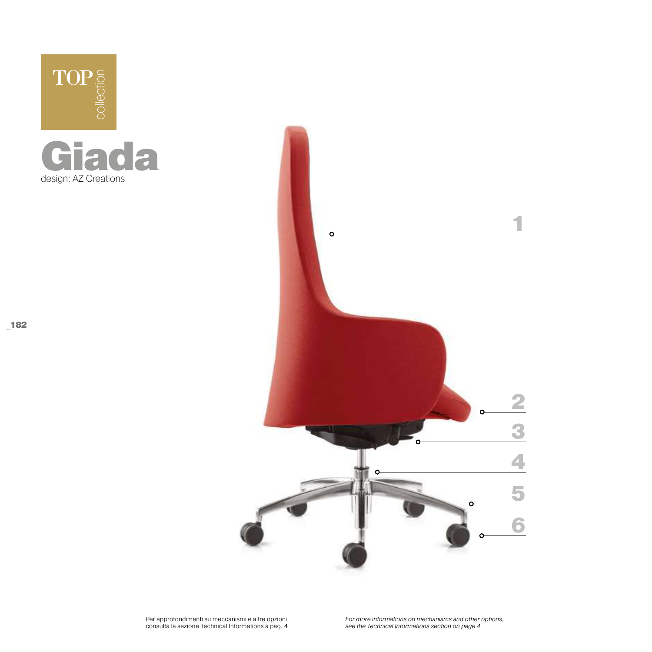





*For more informations on mechanisms and other options, see the Technical Informations section on page 4*